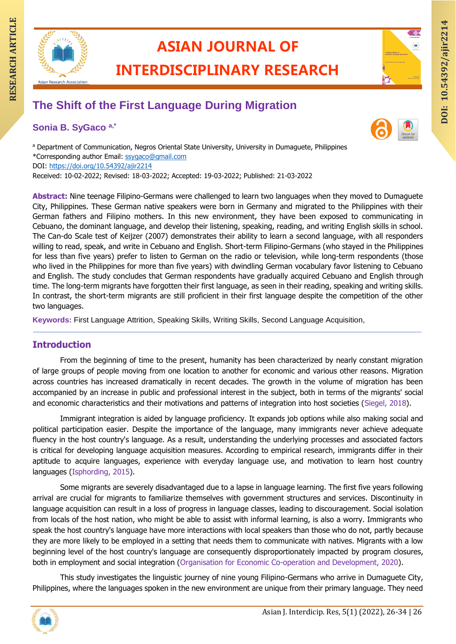

# **ASIAN JOURNAL OF**

**INTERDISCIPLINARY RESEARCH**

# **RESEARCH ARTIAN JOURNAL OF INTERDISCIPLINARY RESEARCH**<br>The Shift of the First Language During Migration **The Shift of the First Language During Migration**

# **Sonia B. SyGaco a,\***



a Department of Communication, Negros Oriental State University, University in Dumaguete, Philippines \*Corresponding author Email: [ssygaco@gmail.com](mailto:ssygaco@gmail.com) DOI:<https://doi.org/10.54392/ajir2214> Received: 10-02-2022; Revised: 18-03-2022; Accepted: 19-03-2022; Published: 21-03-2022

**Abstract:** Nine teenage Filipino-Germans were challenged to learn two languages when they moved to Dumaguete City, Philippines. These German native speakers were born in Germany and migrated to the Philippines with their German fathers and Filipino mothers. In this new environment, they have been exposed to communicating in Cebuano, the dominant language, and develop their listening, speaking, reading, and writing English skills in school. The Can-do Scale test of Keijzer (2007) demonstrates their ability to learn a second language, with all responders willing to read, speak, and write in Cebuano and English. Short-term Filipino-Germans (who stayed in the Philippines for less than five years) prefer to listen to German on the radio or television, while long-term respondents (those who lived in the Philippines for more than five years) with dwindling German vocabulary favor listening to Cebuano and English. The study concludes that German respondents have gradually acquired Cebuano and English through time. The long-term migrants have forgotten their first language, as seen in their reading, speaking and writing skills. In contrast, the short-term migrants are still proficient in their first language despite the competition of the other two languages.

**Keywords:** First Language Attrition, Speaking Skills, Writing Skills, Second Language Acquisition,

# **Introduction**

From the beginning of time to the present, humanity has been characterized by nearly constant migration of large groups of people moving from one location to another for economic and various other reasons. Migration across countries has increased dramatically in recent decades. The growth in the volume of migration has been accompanied by an increase in public and professional interest in the subject, both in terms of the migrants' social and economic characteristics and their motivations and patterns of integration into host societies (Siegel, 2018).

Immigrant integration is aided by language proficiency. It expands job options while also making social and political participation easier. Despite the importance of the language, many immigrants never achieve adequate fluency in the host country's language. As a result, understanding the underlying processes and associated factors is critical for developing language acquisition measures. According to empirical research, immigrants differ in their aptitude to acquire languages, experience with everyday language use, and motivation to learn host country languages (Isphording, 2015).

Some migrants are severely disadvantaged due to a lapse in language learning. The first five years following arrival are crucial for migrants to familiarize themselves with government structures and services. Discontinuity in language acquisition can result in a loss of progress in language classes, leading to discouragement. Social isolation from locals of the host nation, who might be able to assist with informal learning, is also a worry. Immigrants who speak the host country's language have more interactions with local speakers than those who do not, partly because they are more likely to be employed in a setting that needs them to communicate with natives. Migrants with a low beginning level of the host country's language are consequently disproportionately impacted by program closures, both in employment and social integration (Organisation for Economic Co-operation and Development, 2020).

This study investigates the linguistic journey of nine young Filipino-Germans who arrive in Dumaguete City, Philippines, where the languages spoken in the new environment are unique from their primary language. They need

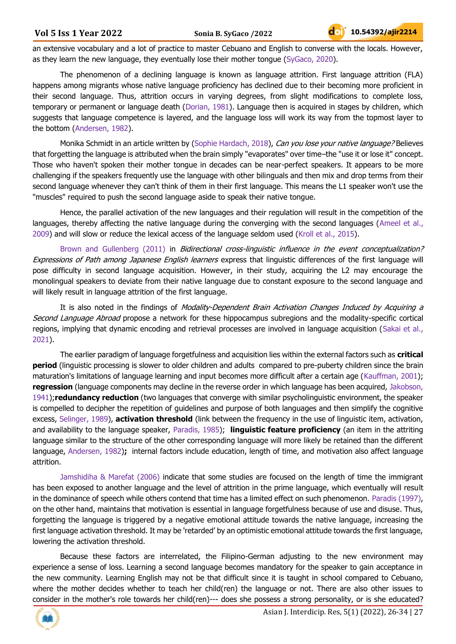an extensive vocabulary and a lot of practice to master Cebuano and English to converse with the locals. However, as they learn the new language, they eventually lose their mother tongue (SyGaco, 2020).

The phenomenon of a declining language is known as language attrition. First language attrition (FLA) happens among migrants whose native language proficiency has declined due to their becoming more proficient in their second language. Thus, attrition occurs in varying degrees, from slight modifications to complete loss, temporary or permanent or language death (Dorian, 1981). Language then is acquired in stages by children, which suggests that language competence is layered, and the language loss will work its way from the topmost layer to the bottom (Andersen, 1982).

Monika Schmidt in an article written by (Sophie Hardach, 2018), Can you lose your native language? Believes that forgetting the language is attributed when the brain simply "evaporates" over time–the "use it or lose it" concept. Those who haven't spoken their mother tongue in decades can be near-perfect speakers. It appears to be more challenging if the speakers frequently use the language with other bilinguals and then mix and drop terms from their second language whenever they can't think of them in their first language. This means the L1 speaker won't use the "muscles" required to push the second language aside to speak their native tongue.

Hence, the parallel activation of the new languages and their regulation will result in the competition of the languages, thereby affecting the native language during the converging with the second languages (Ameel et al., 2009) and will slow or reduce the lexical access of the language seldom used (Kroll et al., 2015).

Brown and Gullenberg (2011) in *Bidirectional cross-linguistic influence in the event conceptualization?* Expressions of Path among Japanese English learners express that linguistic differences of the first language will pose difficulty in second language acquisition. However, in their study, acquiring the L2 may encourage the monolingual speakers to deviate from their native language due to constant exposure to the second language and will likely result in language attrition of the first language.

It is also noted in the findings of Modality-Dependent Brain Activation Changes Induced by Acquiring a Second Language Abroad propose a network for these hippocampus subregions and the modality-specific cortical regions, implying that dynamic encoding and retrieval processes are involved in language acquisition (Sakai et al., 2021).

The earlier paradigm of language forgetfulness and acquisition lies within the external factors such as **critical period** (linguistic processing is slower to older children and adults compared to pre-puberty children since the brain maturation's limitations of language learning and input becomes more difficult after a certain age (Kauffman, 2001); **regression** (language components may decline in the reverse order in which language has been acquired, Jakobson, 1941);**redundancy reduction** (two languages that converge with similar psycholinguistic environment, the speaker is compelled to decipher the repetition of guidelines and purpose of both languages and then simplify the cognitive excess, Selinger, 1989), **activation threshold** (link between the frequency in the use of linguistic item, activation, and availability to the language speaker, Paradis, 1985); **linguistic feature proficiency** (an item in the attriting language similar to the structure of the other corresponding language will more likely be retained than the different language, Andersen, 1982)**;** internal factors include education, length of time, and motivation also affect language attrition.

Jamshidiha & Marefat (2006) indicate that some studies are focused on the length of time the immigrant has been exposed to another language and the level of attrition in the prime language, which eventually will result in the dominance of speech while others contend that time has a limited effect on such phenomenon. Paradis (1997), on the other hand, maintains that motivation is essential in language forgetfulness because of use and disuse. Thus, forgetting the language is triggered by a negative emotional attitude towards the native language, increasing the first language activation threshold. It may be 'retarded' by an optimistic emotional attitude towards the first language, lowering the activation threshold.

Because these factors are interrelated, the Filipino-German adjusting to the new environment may experience a sense of loss. Learning a second language becomes mandatory for the speaker to gain acceptance in the new community. Learning English may not be that difficult since it is taught in school compared to Cebuano, where the mother decides whether to teach her child(ren) the language or not. There are also other issues to consider in the mother's role towards her child(ren)--- does she possess a strong personality, or is she educated?

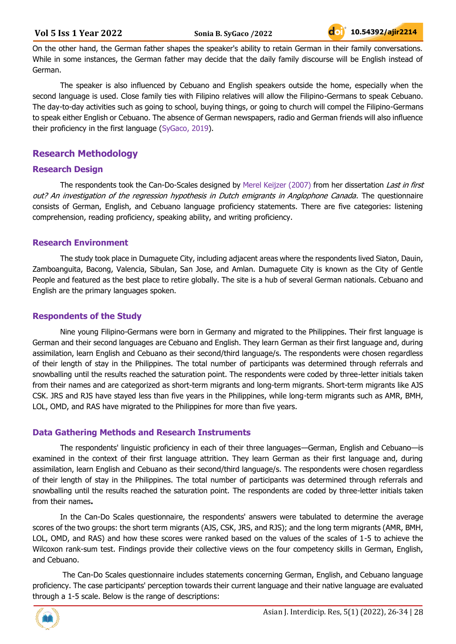On the other hand, the German father shapes the speaker's ability to retain German in their family conversations. While in some instances, the German father may decide that the daily family discourse will be English instead of German.

The speaker is also influenced by Cebuano and English speakers outside the home, especially when the second language is used. Close family ties with Filipino relatives will allow the Filipino-Germans to speak Cebuano. The day-to-day activities such as going to school, buying things, or going to church will compel the Filipino-Germans to speak either English or Cebuano. The absence of German newspapers, radio and German friends will also influence their proficiency in the first language (SyGaco, 2019).

# **Research Methodology**

#### **Research Design**

The respondents took the Can-Do-Scales designed by Merel Keijzer (2007) from her dissertation Last in first out? An investigation of the regression hypothesis in Dutch emigrants in Anglophone Canada. The questionnaire consists of German, English, and Cebuano language proficiency statements. There are five categories: listening comprehension, reading proficiency, speaking ability, and writing proficiency.

#### **Research Environment**

The study took place in Dumaguete City, including adjacent areas where the respondents lived Siaton, Dauin, Zamboanguita, Bacong, Valencia, Sibulan, San Jose, and Amlan. Dumaguete City is known as the City of Gentle People and featured as the best place to retire globally. The site is a hub of several German nationals. Cebuano and English are the primary languages spoken.

#### **Respondents of the Study**

Nine young Filipino-Germans were born in Germany and migrated to the Philippines. Their first language is German and their second languages are Cebuano and English. They learn German as their first language and, during assimilation, learn English and Cebuano as their second/third language/s. The respondents were chosen regardless of their length of stay in the Philippines. The total number of participants was determined through referrals and snowballing until the results reached the saturation point. The respondents were coded by three-letter initials taken from their names and are categorized as short-term migrants and long-term migrants. Short-term migrants like AJS CSK. JRS and RJS have stayed less than five years in the Philippines, while long-term migrants such as AMR, BMH, LOL, OMD, and RAS have migrated to the Philippines for more than five years.

# **Data Gathering Methods and Research Instruments**

The respondents' linguistic proficiency in each of their three languages—German, English and Cebuano—is examined in the context of their first language attrition. They learn German as their first language and, during assimilation, learn English and Cebuano as their second/third language/s. The respondents were chosen regardless of their length of stay in the Philippines. The total number of participants was determined through referrals and snowballing until the results reached the saturation point. The respondents are coded by three-letter initials taken from their names**.**

In the Can-Do Scales questionnaire, the respondents' answers were tabulated to determine the average scores of the two groups: the short term migrants (AJS, CSK, JRS, and RJS); and the long term migrants (AMR, BMH, LOL, OMD, and RAS) and how these scores were ranked based on the values of the scales of 1-5 to achieve the Wilcoxon rank-sum test. Findings provide their collective views on the four competency skills in German, English, and Cebuano.

The Can-Do Scales questionnaire includes statements concerning German, English, and Cebuano language proficiency. The case participants' perception towards their current language and their native language are evaluated through a 1-5 scale. Below is the range of descriptions:

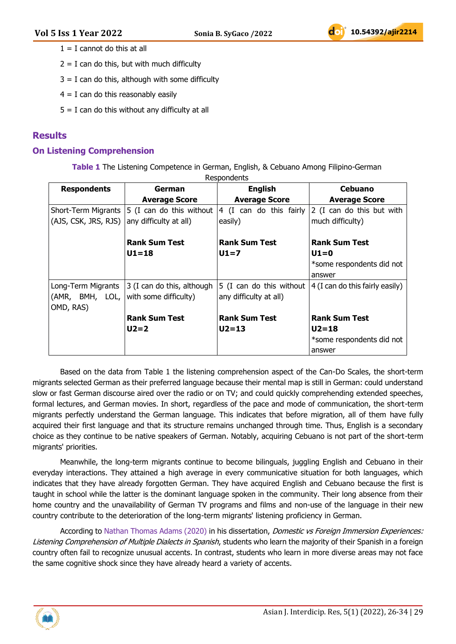- $1 = I$  cannot do this at all
- $2 = I$  can do this, but with much difficulty
- $3 = I$  can do this, although with some difficulty
- $4 = I$  can do this reasonably easily
- $5 = I$  can do this without any difficulty at all

#### **Results**

#### **On Listening Comprehension**

**Table 1** The Listening Competence in German, English, & Cebuano Among Filipino-German

| <b>Respondents</b>                                 | German                                                                    | <b>English</b>                                     | Cebuano                                       |
|----------------------------------------------------|---------------------------------------------------------------------------|----------------------------------------------------|-----------------------------------------------|
|                                                    | <b>Average Score</b>                                                      | <b>Average Score</b>                               | <b>Average Score</b>                          |
| (AJS, CSK, JRS, RJS)                               | Short-Term Migrants $ 5$ (I can do this without<br>any difficulty at all) | 4 (I can do this fairly<br>easily)                 | 2 (I can do this but with<br>much difficulty) |
|                                                    | <b>Rank Sum Test</b>                                                      | <b>Rank Sum Test</b>                               | <b>Rank Sum Test</b>                          |
|                                                    | $U1 = 18$                                                                 | $U1=7$                                             | $U1=0$                                        |
|                                                    |                                                                           |                                                    | *some respondents did not                     |
|                                                    |                                                                           |                                                    | answer                                        |
| Long-Term Migrants<br>(AMR, BMH, LOL,<br>OMD, RAS) | 3 (I can do this, although<br>with some difficulty)                       | 5 (I can do this without<br>any difficulty at all) | 4 (I can do this fairly easily)               |
|                                                    | <b>Rank Sum Test</b>                                                      | <b>Rank Sum Test</b>                               | <b>Rank Sum Test</b>                          |
|                                                    | $U2=2$                                                                    | $U2 = 13$                                          | $U2 = 18$                                     |
|                                                    |                                                                           |                                                    | *some respondents did not                     |
|                                                    |                                                                           |                                                    | answer                                        |

Based on the data from Table 1 the listening comprehension aspect of the Can-Do Scales, the short-term migrants selected German as their preferred language because their mental map is still in German: could understand slow or fast German discourse aired over the radio or on TV; and could quickly comprehending extended speeches, formal lectures, and German movies. In short, regardless of the pace and mode of communication, the short-term migrants perfectly understand the German language. This indicates that before migration, all of them have fully acquired their first language and that its structure remains unchanged through time. Thus, English is a secondary choice as they continue to be native speakers of German. Notably, acquiring Cebuano is not part of the short-term migrants' priorities.

Meanwhile, the long-term migrants continue to become bilinguals, juggling English and Cebuano in their everyday interactions. They attained a high average in every communicative situation for both languages, which indicates that they have already forgotten German. They have acquired English and Cebuano because the first is taught in school while the latter is the dominant language spoken in the community. Their long absence from their home country and the unavailability of German TV programs and films and non-use of the language in their new country contribute to the deterioration of the long-term migrants' listening proficiency in German.

According to Nathan Thomas Adams (2020) in his dissertation, *Domestic vs Foreign Immersion Experiences:* Listening Comprehension of Multiple Dialects in Spanish, students who learn the majority of their Spanish in a foreign country often fail to recognize unusual accents. In contrast, students who learn in more diverse areas may not face the same cognitive shock since they have already heard a variety of accents.

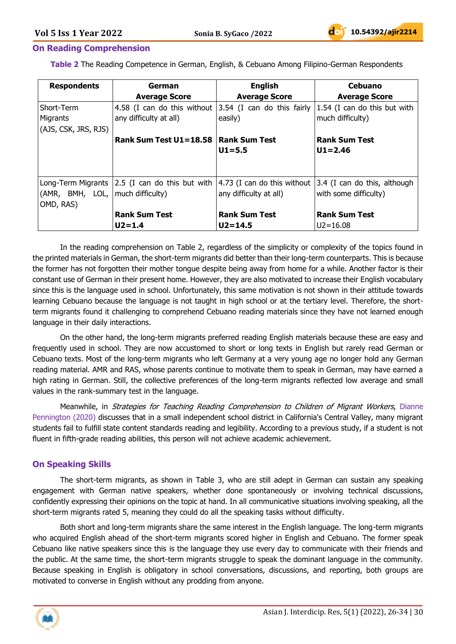#### **On Reading Comprehension**

**Table 2** The Reading Competence in German, English, & Cebuano Among Filipino-German Respondents

| <b>Respondents</b>                 | German                                                 | <b>English</b>              | Cebuano                      |
|------------------------------------|--------------------------------------------------------|-----------------------------|------------------------------|
|                                    | <b>Average Score</b>                                   | <b>Average Score</b>        | <b>Average Score</b>         |
| Short-Term                         | 4.58 (I can do this without 3.54 (I can do this fairly |                             | 1.54 (I can do this but with |
| Migrants                           | any difficulty at all)                                 | easily)                     | much difficulty)             |
| (AJS, CSK, JRS, RJS)               |                                                        |                             |                              |
|                                    | Rank Sum Test $U1 = 18.58$                             | <b>Rank Sum Test</b>        | <b>Rank Sum Test</b>         |
|                                    |                                                        | $U1 = 5.5$                  | $U1 = 2.46$                  |
|                                    |                                                        |                             |                              |
|                                    |                                                        |                             |                              |
|                                    | Long-Term Migrants   2.5 (I can do this but with       | 4.73 (I can do this without | 3.4 (I can do this, although |
| (AMR, BMH, LOL,   much difficulty) |                                                        | any difficulty at all)      | with some difficulty)        |
| OMD, RAS)                          |                                                        |                             |                              |
|                                    | <b>Rank Sum Test</b>                                   | <b>Rank Sum Test</b>        | <b>Rank Sum Test</b>         |
|                                    | $U2 = 1.4$                                             | $U2 = 14.5$                 | $U2 = 16.08$                 |

In the reading comprehension on Table 2, regardless of the simplicity or complexity of the topics found in the printed materials in German, the short-term migrants did better than their long-term counterparts. This is because the former has not forgotten their mother tongue despite being away from home for a while. Another factor is their constant use of German in their present home. However, they are also motivated to increase their English vocabulary since this is the language used in school. Unfortunately, this same motivation is not shown in their attitude towards learning Cebuano because the language is not taught in high school or at the tertiary level. Therefore, the shortterm migrants found it challenging to comprehend Cebuano reading materials since they have not learned enough language in their daily interactions.

On the other hand, the long-term migrants preferred reading English materials because these are easy and frequently used in school. They are now accustomed to short or long texts in English but rarely read German or Cebuano texts. Most of the long-term migrants who left Germany at a very young age no longer hold any German reading material. AMR and RAS, whose parents continue to motivate them to speak in German, may have earned a high rating in German. Still, the collective preferences of the long-term migrants reflected low average and small values in the rank-summary test in the language.

Meanwhile, in *Strategies for Teaching Reading Comprehension to Children of Migrant Workers*, Dianne Pennington (2020) discusses that in a small independent school district in California's Central Valley, many migrant students fail to fulfill state content standards reading and legibility. According to a previous study, if a student is not fluent in fifth-grade reading abilities, this person will not achieve academic achievement.

#### **On Speaking Skills**

The short-term migrants, as shown in Table 3, who are still adept in German can sustain any speaking engagement with German native speakers, whether done spontaneously or involving technical discussions, confidently expressing their opinions on the topic at hand. In all communicative situations involving speaking, all the short-term migrants rated 5, meaning they could do all the speaking tasks without difficulty.

Both short and long-term migrants share the same interest in the English language. The long-term migrants who acquired English ahead of the short-term migrants scored higher in English and Cebuano. The former speak Cebuano like native speakers since this is the language they use every day to communicate with their friends and the public. At the same time, the short-term migrants struggle to speak the dominant language in the community. Because speaking in English is obligatory in school conversations, discussions, and reporting, both groups are motivated to converse in English without any prodding from anyone.

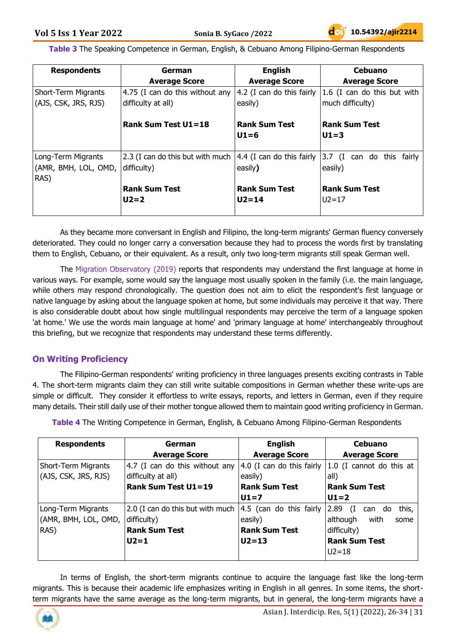**Table 3** The Speaking Competence in German, English, & Cebuano Among Filipino-German Respondents

| <b>Respondents</b>                                 | German                                                | <b>English</b>                                            | <b>Cebuano</b>                                    |
|----------------------------------------------------|-------------------------------------------------------|-----------------------------------------------------------|---------------------------------------------------|
|                                                    | <b>Average Score</b>                                  | <b>Average Score</b>                                      | <b>Average Score</b>                              |
| <b>Short-Term Migrants</b><br>(AJS, CSK, JRS, RJS) | 4.75 (I can do this without any<br>difficulty at all) | 4.2 (I can do this fairly<br>easily)                      | $1.6$ (I can do this but with<br>much difficulty) |
|                                                    | <b>Rank Sum Test U1=18</b>                            | <b>Rank Sum Test</b><br>$U1=6$                            | <b>Rank Sum Test</b><br>$U1=3$                    |
| Long-Term Migrants<br>(AMR, BMH, LOL, OMD,<br>RAS) | 2.3 (I can do this but with much<br>difficulty)       | $ 4.4$ (I can do this fairly $ 3.7 \rangle$ (I<br>easily) | can do this fairly<br>easily)                     |
|                                                    | <b>Rank Sum Test</b><br>$U2=2$                        | <b>Rank Sum Test</b><br>$U2 = 14$                         | Rank Sum Test<br>$U2 = 17$                        |

As they became more conversant in English and Filipino, the long-term migrants' German fluency conversely deteriorated. They could no longer carry a conversation because they had to process the words first by translating them to English, Cebuano, or their equivalent. As a result, only two long-term migrants still speak German well.

The Migration Observatory (2019) reports that respondents may understand the first language at home in various ways. For example, some would say the language most usually spoken in the family (i.e. the main language, while others may respond chronologically. The question does not aim to elicit the respondent's first language or native language by asking about the language spoken at home, but some individuals may perceive it that way. There is also considerable doubt about how single multilingual respondents may perceive the term of a language spoken 'at home.' We use the words main language at home' and 'primary language at home' interchangeably throughout this briefing, but we recognize that respondents may understand these terms differently.

# **On Writing Proficiency**

The Filipino-German respondents' writing proficiency in three languages presents exciting contrasts in Table 4. The short-term migrants claim they can still write suitable compositions in German whether these write-ups are simple or difficult. They consider it effortless to write essays, reports, and letters in German, even if they require many details. Their still daily use of their mother tongue allowed them to maintain good writing proficiency in German.

**Table 4** The Writing Competence in German, English, & Cebuano Among Filipino-German Respondents

| <b>Respondents</b>   | German                           | <b>English</b>            | <b>Cebuano</b>                |
|----------------------|----------------------------------|---------------------------|-------------------------------|
|                      | <b>Average Score</b>             | <b>Average Score</b>      | <b>Average Score</b>          |
| Short-Term Migrants  | 4.7 (I can do this without any   | 4.0 (I can do this fairly | 1.0 (I cannot do this at      |
| (AJS, CSK, JRS, RJS) | difficulty at all)               | easily)                   | all)                          |
|                      | <b>Rank Sum Test U1=19</b>       | <b>Rank Sum Test</b>      | <b>Rank Sum Test</b>          |
|                      |                                  | $U1=7$                    | $U1=2$                        |
| Long-Term Migrants   | 2.0 (I can do this but with much | 4.5 (can do this fairly   | this,<br>2.89<br>Œ.<br>can do |
| (AMR, BMH, LOL, OMD, | difficulty)                      | easily)                   | although<br>with<br>some      |
| RAS)                 | <b>Rank Sum Test</b>             | <b>Rank Sum Test</b>      | difficulty)                   |
|                      | $U2=1$                           | $U2 = 13$                 | <b>Rank Sum Test</b>          |
|                      |                                  |                           | $U2 = 18$                     |

In terms of English, the short-term migrants continue to acquire the language fast like the long-term migrants. This is because their academic life emphasizes writing in English in all genres. In some items, the shortterm migrants have the same average as the long-term migrants, but in general, the long-term migrants have a

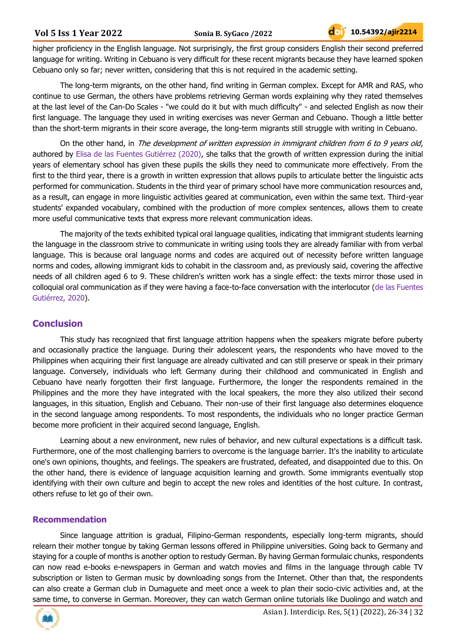higher proficiency in the English language. Not surprisingly, the first group considers English their second preferred language for writing. Writing in Cebuano is very difficult for these recent migrants because they have learned spoken Cebuano only so far; never written, considering that this is not required in the academic setting.

The long-term migrants, on the other hand, find writing in German complex. Except for AMR and RAS, who continue to use German, the others have problems retrieving German words explaining why they rated themselves at the last level of the Can-Do Scales - "we could do it but with much difficulty" - and selected English as now their first language. The language they used in writing exercises was never German and Cebuano. Though a little better than the short-term migrants in their score average, the long-term migrants still struggle with writing in Cebuano.

On the other hand, in The development of written expression in immigrant children from 6 to 9 years old, authored by Elisa de las Fuentes Gutiérrez (2020), she talks that the growth of written expression during the initial years of elementary school has given these pupils the skills they need to communicate more effectively. From the first to the third year, there is a growth in written expression that allows pupils to articulate better the linguistic acts performed for communication. Students in the third year of primary school have more communication resources and, as a result, can engage in more linguistic activities geared at communication, even within the same text. Third-year students' expanded vocabulary, combined with the production of more complex sentences, allows them to create more useful communicative texts that express more relevant communication ideas.

The majority of the texts exhibited typical oral language qualities, indicating that immigrant students learning the language in the classroom strive to communicate in writing using tools they are already familiar with from verbal language. This is because oral language norms and codes are acquired out of necessity before written language norms and codes, allowing immigrant kids to cohabit in the classroom and, as previously said, covering the affective needs of all children aged 6 to 9. These children's written work has a single effect: the texts mirror those used in colloquial oral communication as if they were having a face-to-face conversation with the interlocutor (de las Fuentes Gutiérrez, 2020).

# **Conclusion**

This study has recognized that first language attrition happens when the speakers migrate before puberty and occasionally practice the language. During their adolescent years, the respondents who have moved to the Philippines when acquiring their first language are already cultivated and can still preserve or speak in their primary language. Conversely, individuals who left Germany during their childhood and communicated in English and Cebuano have nearly forgotten their first language. Furthermore, the longer the respondents remained in the Philippines and the more they have integrated with the local speakers, the more they also utilized their second languages, in this situation, English and Cebuano. Their non-use of their first language also determines eloquence in the second language among respondents. To most respondents, the individuals who no longer practice German become more proficient in their acquired second language, English.

Learning about a new environment, new rules of behavior, and new cultural expectations is a difficult task. Furthermore, one of the most challenging barriers to overcome is the language barrier. It's the inability to articulate one's own opinions, thoughts, and feelings. The speakers are frustrated, defeated, and disappointed due to this. On the other hand, there is evidence of language acquisition learning and growth. Some immigrants eventually stop identifying with their own culture and begin to accept the new roles and identities of the host culture. In contrast, others refuse to let go of their own.

# **Recommendation**

Since language attrition is gradual, Filipino-German respondents, especially long-term migrants, should relearn their mother tongue by taking German lessons offered in Philippine universities. Going back to Germany and staying for a couple of months is another option to restudy German. By having German formulaic chunks, respondents can now read e-books e-newspapers in German and watch movies and films in the language through cable TV subscription or listen to German music by downloading songs from the Internet. Other than that, the respondents can also create a German club in Dumaguete and meet once a week to plan their socio-civic activities and, at the same time, to converse in German. Moreover, they can watch German online tutorials like Duolingo and watch and

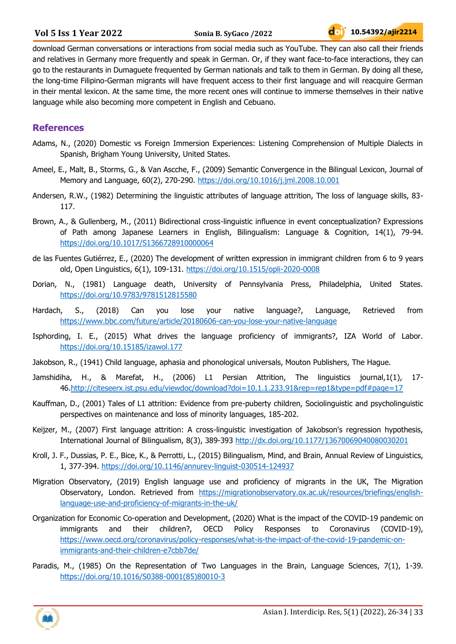download German conversations or interactions from social media such as YouTube. They can also call their friends and relatives in Germany more frequently and speak in German. Or, if they want face-to-face interactions, they can go to the restaurants in Dumaguete frequented by German nationals and talk to them in German. By doing all these, the long-time Filipino-German migrants will have frequent access to their first language and will reacquire German in their mental lexicon. At the same time, the more recent ones will continue to immerse themselves in their native language while also becoming more competent in English and Cebuano.

# **References**

- Adams, N., (2020) Domestic vs Foreign Immersion Experiences: Listening Comprehension of Multiple Dialects in Spanish, Brigham Young University, United States.
- Ameel, E., Malt, B., Storms, G., & Van Ascche, F., (2009) Semantic Convergence in the Bilingual Lexicon, Journal of Memory and Language, 60(2), 270-290.<https://doi.org/10.1016/j.jml.2008.10.001>
- Andersen, R.W., (1982) Determining the linguistic attributes of language attrition, The loss of language skills, 83- 117.
- Brown, A., & Gullenberg, M., (2011) Bidirectional cross-linguistic influence in event conceptualization? Expressions of Path among Japanese Learners in English, Bilingualism: Language & Cognition, 14(1), 79-94. <https://doi.org/10.1017/S1366728910000064>
- de las Fuentes Gutiérrez, E., (2020) The development of written expression in immigrant children from 6 to 9 years old, Open Linguistics, 6(1), 109-131.<https://doi.org/10.1515/opli-2020-0008>
- Dorian, N., (1981) Language death, University of Pennsylvania Press, Philadelphia, United States. <https://doi.org/10.9783/9781512815580>
- Hardach, S., (2018) Can you lose your native language?, Language, Retrieved from <https://www.bbc.com/future/article/20180606-can-you-lose-your-native-language>
- Isphording, I. E., (2015) What drives the language proficiency of immigrants?, IZA World of Labor. <https://doi.org/10.15185/izawol.177>
- Jakobson, R., (1941) Child language, aphasia and phonological universals, Mouton Publishers, The Hague.
- Jamshidiha, H., & Marefat, H., (2006) L1 Persian Attrition, The linguistics journal,1(1), 17- 46[.http://citeseerx.ist.psu.edu/viewdoc/download?doi=10.1.1.233.91&rep=rep1&type=pdf#page=17](http://citeseerx.ist.psu.edu/viewdoc/download?doi=10.1.1.233.91&rep=rep1&type=pdf#page=17)
- Kauffman, D., (2001) Tales of L1 attrition: Evidence from pre-puberty children, Sociolinguistic and psycholinguistic perspectives on maintenance and loss of minority languages, 185-202.
- Keijzer, M., (2007) First language attrition: A cross-linguistic investigation of Jakobson's regression hypothesis, International Journal of Bilingualism, 8(3), 389-393<http://dx.doi.org/10.1177/13670069040080030201>
- Kroll, J. F., Dussias, P. E., Bice, K., & Perrotti, L., (2015) Bilingualism, Mind, and Brain, Annual Review of Linguistics, 1, 377-394.<https://doi.org/10.1146/annurev-linguist-030514-124937>
- Migration Observatory, (2019) English language use and proficiency of migrants in the UK, The Migration Observatory, London. Retrieved from [https://migrationobservatory.ox.ac.uk/resources/briefings/english](https://migrationobservatory.ox.ac.uk/resources/briefings/english-language-use-and-proficiency-of-migrants-in-the-uk/)[language-use-and-proficiency-of-migrants-in-the-uk/](https://migrationobservatory.ox.ac.uk/resources/briefings/english-language-use-and-proficiency-of-migrants-in-the-uk/)
- Organization for Economic Co-operation and Development, (2020) What is the impact of the COVID-19 pandemic on immigrants and their children?, OECD Policy Responses to Coronavirus (COVID-19), [https://www.oecd.org/coronavirus/policy-responses/what-is-the-impact-of-the-covid-19-pandemic-on](https://www.oecd.org/coronavirus/policy-responses/what-is-the-impact-of-the-covid-19-pandemic-on-immigrants-and-their-children-e7cbb7de/)[immigrants-and-their-children-e7cbb7de/](https://www.oecd.org/coronavirus/policy-responses/what-is-the-impact-of-the-covid-19-pandemic-on-immigrants-and-their-children-e7cbb7de/)
- Paradis, M., (1985) On the Representation of Two Languages in the Brain, Language Sciences, 7(1), 1-39. [https://doi.org/10.1016/S0388-0001\(85\)80010-3](https://doi.org/10.1016/S0388-0001(85)80010-3)